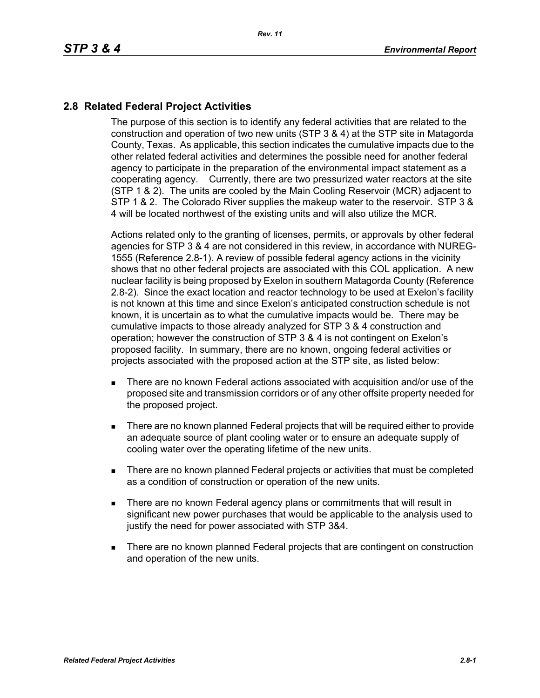## **2.8 Related Federal Project Activities**

The purpose of this section is to identify any federal activities that are related to the construction and operation of two new units (STP 3 & 4) at the STP site in Matagorda County, Texas. As applicable, this section indicates the cumulative impacts due to the other related federal activities and determines the possible need for another federal agency to participate in the preparation of the environmental impact statement as a cooperating agency. Currently, there are two pressurized water reactors at the site (STP 1 & 2). The units are cooled by the Main Cooling Reservoir (MCR) adjacent to STP 1 & 2. The Colorado River supplies the makeup water to the reservoir. STP 3 & 4 will be located northwest of the existing units and will also utilize the MCR.

Actions related only to the granting of licenses, permits, or approvals by other federal agencies for STP 3 & 4 are not considered in this review, in accordance with NUREG-1555 (Reference 2.8-1). A review of possible federal agency actions in the vicinity shows that no other federal projects are associated with this COL application. A new nuclear facility is being proposed by Exelon in southern Matagorda County (Reference 2.8-2). Since the exact location and reactor technology to be used at Exelon's facility is not known at this time and since Exelon's anticipated construction schedule is not known, it is uncertain as to what the cumulative impacts would be. There may be cumulative impacts to those already analyzed for STP 3 & 4 construction and operation; however the construction of STP 3 & 4 is not contingent on Exelon's proposed facility. In summary, there are no known, ongoing federal activities or projects associated with the proposed action at the STP site, as listed below:

- There are no known Federal actions associated with acquisition and/or use of the proposed site and transmission corridors or of any other offsite property needed for the proposed project.
- **There are no known planned Federal projects that will be required either to provide** an adequate source of plant cooling water or to ensure an adequate supply of cooling water over the operating lifetime of the new units.
- There are no known planned Federal projects or activities that must be completed as a condition of construction or operation of the new units.
- **There are no known Federal agency plans or commitments that will result in** significant new power purchases that would be applicable to the analysis used to justify the need for power associated with STP 3&4.
- There are no known planned Federal projects that are contingent on construction and operation of the new units.